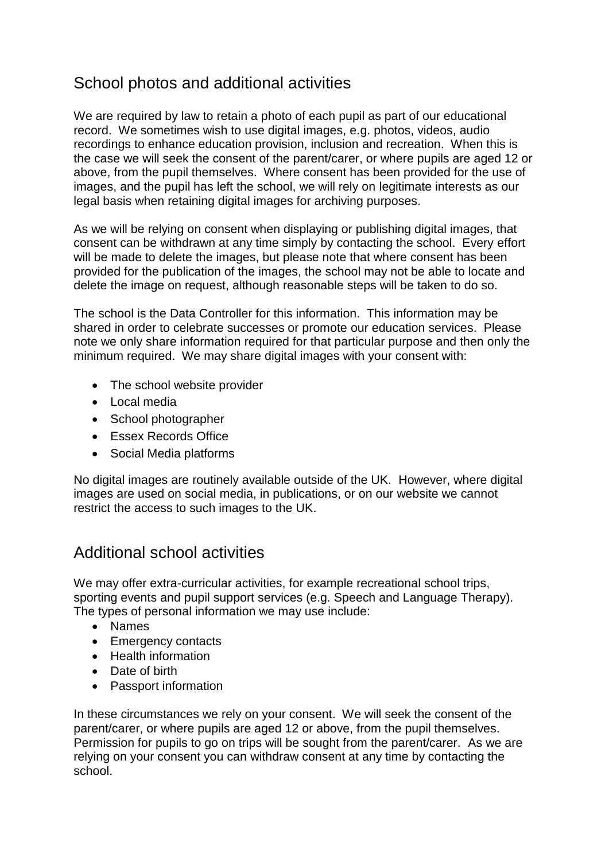## School photos and additional activities

We are required by law to retain a photo of each pupil as part of our educational record. We sometimes wish to use digital images, e.g. photos, videos, audio recordings to enhance education provision, inclusion and recreation. When this is the case we will seek the consent of the parent/carer, or where pupils are aged 12 or above, from the pupil themselves. Where consent has been provided for the use of images, and the pupil has left the school, we will rely on legitimate interests as our legal basis when retaining digital images for archiving purposes.

As we will be relying on consent when displaying or publishing digital images, that consent can be withdrawn at any time simply by contacting the school. Every effort will be made to delete the images, but please note that where consent has been provided for the publication of the images, the school may not be able to locate and delete the image on request, although reasonable steps will be taken to do so.

The school is the Data Controller for this information. This information may be shared in order to celebrate successes or promote our education services. Please note we only share information required for that particular purpose and then only the minimum required. We may share digital images with your consent with:

- The school website provider
- Local media
- School photographer
- Essex Records Office
- Social Media platforms

No digital images are routinely available outside of the UK. However, where digital images are used on social media, in publications, or on our website we cannot restrict the access to such images to the UK.

## Additional school activities

We may offer extra-curricular activities, for example recreational school trips, sporting events and pupil support services (e.g. Speech and Language Therapy). The types of personal information we may use include:

- Names
- Emergency contacts
- Health information
- Date of birth
- Passport information

In these circumstances we rely on your consent. We will seek the consent of the parent/carer, or where pupils are aged 12 or above, from the pupil themselves. Permission for pupils to go on trips will be sought from the parent/carer. As we are relying on your consent you can withdraw consent at any time by contacting the school.